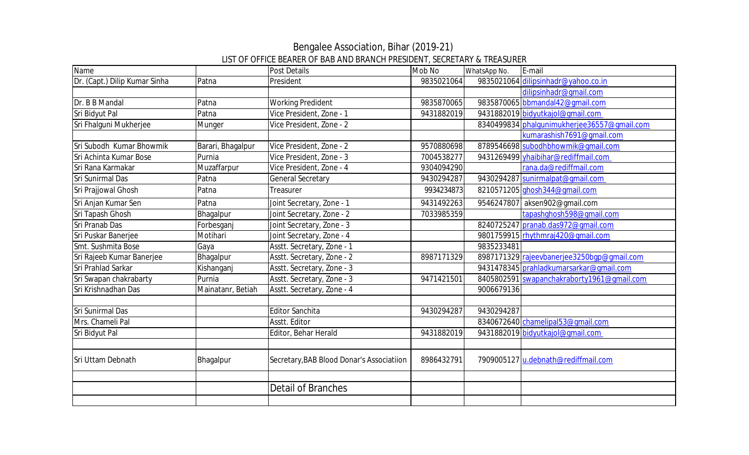| Name                          |                   | <b>Post Details</b>                       | Mob No     | WhatsApp No. | E-mail                                      |
|-------------------------------|-------------------|-------------------------------------------|------------|--------------|---------------------------------------------|
| Dr. (Capt.) Dilip Kumar Sinha | Patna             | President                                 | 9835021064 |              | 9835021064 dilipsinhadr@yahoo.co.in         |
|                               |                   |                                           |            |              | dilipsinhadr@gmail.com                      |
| Dr. B B Mandal                | Patna             | <b>Working Predident</b>                  | 9835870065 |              | 9835870065 bbmandal42@qmail.com             |
| Sri Bidyut Pal                | Patna             | Vice President, Zone - 1                  | 9431882019 |              | 9431882019 bidyutkajol@gmail.com            |
| Sri Fhalguni Mukherjee        | Munger            | Vice President, Zone - 2                  |            |              | 8340499834 phalqunimukherjee36557@qmail.com |
|                               |                   |                                           |            |              | kumarashish7691@qmail.com                   |
| Sri Subodh Kumar Bhowmik      | Barari, Bhagalpur | Vice President, Zone - 2                  | 9570880698 |              | 8789546698 subodhbhowmik@gmail.com          |
| Sri Achinta Kumar Bose        | Purnia            | Vice President, Zone - 3                  | 7004538277 |              | 9431269499 yhaibihar@rediffmail.com         |
| <b>Sri Rana Karmakar</b>      | Muzaffarpur       | Vice President, Zone - 4                  | 9304094290 |              | rana.da@rediffmail.com                      |
| Sri Sunirmal Das              | Patna             | <b>General Secretary</b>                  | 9430294287 |              | 9430294287 sunirmalpat@gmail.com            |
| Sri Prajjowal Ghosh           | Patna             | Treasurer                                 | 9934234873 |              | 8210571205 ghosh344@gmail.com               |
| Sri Anjan Kumar Sen           | Patna             | Joint Secretary, Zone - 1                 | 9431492263 | 9546247807   | aksen902@gmail.com                          |
| Sri Tapash Ghosh              | Bhagalpur         | Joint Secretary, Zone - 2                 | 7033985359 |              | tapashqhosh598@qmail.com                    |
| Sri Pranab Das                | Forbesganj        | Joint Secretary, Zone - 3                 |            |              | 8240725247 pranab.das972@gmail.com          |
| Sri Puskar Banerjee           | Motihari          | Joint Secretary, Zone - 4                 |            |              | 9801759915 rhythmraj420@gmail.com           |
| Smt. Sushmita Bose            | Gaya              | Asstt. Secretary, Zone - 1                |            | 9835233481   |                                             |
| Sri Rajeeb Kumar Banerjee     | Bhagalpur         | Asstt. Secretary, Zone - 2                | 8987171329 |              | 8987171329 rajeevbanerjee3250bgp@gmail.com  |
| Sri Prahlad Sarkar            | Kishanganj        | Asstt. Secretary, Zone - 3                |            |              | 9431478345 prahladkumarsarkar@gmail.com     |
| Sri Swapan chakrabarty        | Purnia            | Asstt. Secretary, Zone - 3                | 9471421501 |              | 8405802591 swapanchakraborty1961@qmail.com  |
| Sri Krishnadhan Das           | Mainatanr, Betiah | Asstt. Secretary, Zone - 4                |            | 9006679136   |                                             |
|                               |                   |                                           |            |              |                                             |
| Sri Sunirmal Das              |                   | <b>Editor Sanchita</b>                    | 9430294287 | 9430294287   |                                             |
| Mrs. Chameli Pal              |                   | Asstt. Editor                             |            |              | 8340672640 chamelipal53@qmail.com           |
| Sri Bidyut Pal                |                   | Editor, Behar Herald                      | 9431882019 |              | 9431882019 bidyutkajol@gmail.com            |
|                               |                   |                                           |            |              |                                             |
| Sri Uttam Debnath             | Bhagalpur         | Secretary, BAB Blood Donar's Associatiion | 8986432791 |              | 7909005127 u.debnath@rediffmail.com         |
|                               |                   |                                           |            |              |                                             |
|                               |                   | Detail of Branches                        |            |              |                                             |
|                               |                   |                                           |            |              |                                             |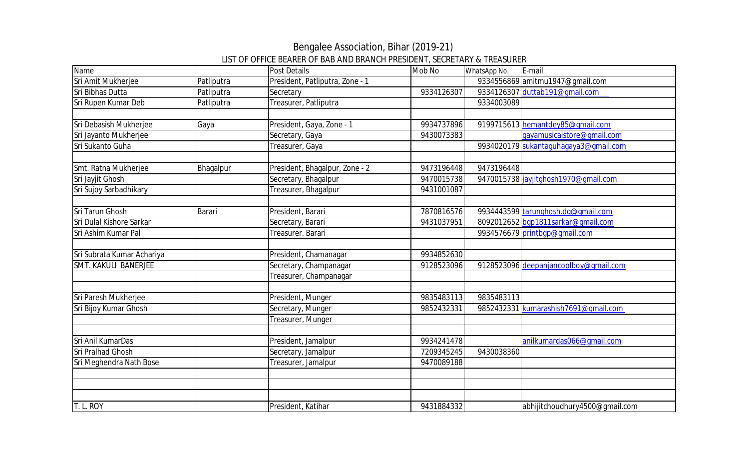| Name                       |            | Post Details                    | Mob No     | WhatsApp No. | E-mail                                |
|----------------------------|------------|---------------------------------|------------|--------------|---------------------------------------|
| Sri Amit Mukherjee         | Patliputra | President, Patliputra, Zone - 1 |            |              | 9334556869 amitmu1947@gmail.com       |
| Sri Bibhas Dutta           | Patliputra | Secretary                       | 9334126307 |              | 9334126307 duttab191@gmail.com        |
| Sri Rupen Kumar Deb        | Patliputra | Treasurer, Patliputra           |            | 9334003089   |                                       |
|                            |            |                                 |            |              |                                       |
| Sri Debasish Mukherjee     | Gaya       | President, Gaya, Zone - 1       | 9934737896 |              | 9199715613 hemantdey85@qmail.com      |
| Sri Jayanto Mukherjee      |            | Secretary, Gaya                 | 9430073383 |              | gayamusicalstore@gmail.com            |
| Sri Sukanto Guha           |            | Treasurer, Gaya                 |            |              | 9934020179 sukantaguhagaya3@gmail.com |
|                            |            |                                 |            |              |                                       |
| Smt. Ratna Mukherjee       | Bhagalpur  | President, Bhagalpur, Zone - 2  | 9473196448 | 9473196448   |                                       |
| Sri Jayjit Ghosh           |            | Secretary, Bhagalpur            | 9470015738 |              | 9470015738 jayjitghosh1970@gmail.com  |
| Sri Sujoy Sarbadhikary     |            | Treasurer, Bhagalpur            | 9431001087 |              |                                       |
|                            |            |                                 |            |              |                                       |
| Sri Tarun Ghosh            | Barari     | President, Barari               | 7870816576 |              | 9934443599 tarunghosh.dg@gmail.com    |
| Sri Dulal Kishore Sarkar   |            | Secretary, Barari               | 9431037951 |              | 8092012652 bgp1811sarkar@gmail.com    |
| Sri Ashim Kumar Pal        |            | Treasurer. Barari               |            |              | 9934576679 printbqp@qmail.com         |
|                            |            |                                 |            |              |                                       |
| Sri Subrata Kumar Achariya |            | President, Chamanagar           | 9934852630 |              |                                       |
| SMT. KAKULI BANERJEE       |            | Secretary, Champanagar          | 9128523096 |              | 9128523096 deepanjancoolboy@gmail.com |
|                            |            | Treasurer, Champanagar          |            |              |                                       |
|                            |            |                                 |            |              |                                       |
| Sri Paresh Mukherjee       |            | President, Munger               | 9835483113 | 9835483113   |                                       |
| Sri Bijoy Kumar Ghosh      |            | Secretary, Munger               | 9852432331 |              | 9852432331 kumarashish7691@qmail.com  |
|                            |            | Treasurer, Munger               |            |              |                                       |
|                            |            |                                 |            |              |                                       |
| Sri Anil KumarDas          |            | President, Jamalpur             | 9934241478 |              | anilkumardas066@qmail.com             |
| Sri Pralhad Ghosh          |            | Secretary, Jamalpur             | 7209345245 | 9430038360   |                                       |
| Sri Meghendra Nath Bose    |            | Treasurer, Jamalpur             | 9470089188 |              |                                       |
|                            |            |                                 |            |              |                                       |
|                            |            |                                 |            |              |                                       |
|                            |            |                                 |            |              |                                       |
| T. L. ROY                  |            | President, Katihar              | 9431884332 |              | abhijitchoudhury4500@gmail.com        |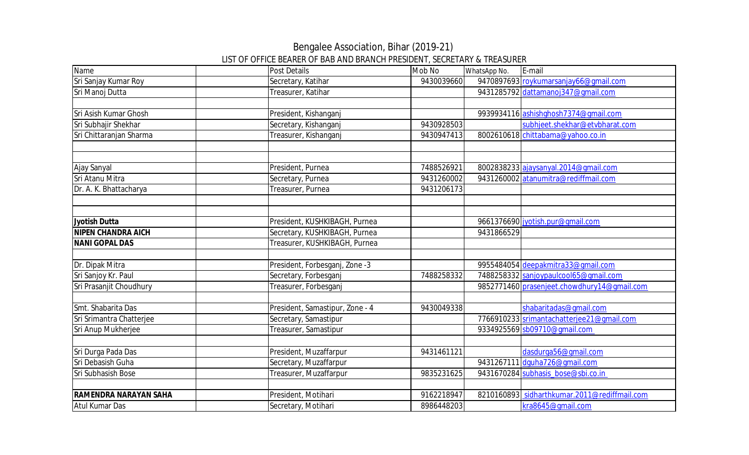| Name                         | Post Details                    | Mob No     | WhatsApp No. | E-mail                                       |
|------------------------------|---------------------------------|------------|--------------|----------------------------------------------|
| Sri Sanjay Kumar Roy         | Secretary, Katihar              | 9430039660 |              | 9470897693 roykumarsanjay66@gmail.com        |
| Sri Manoj Dutta              | Treasurer, Katihar              |            |              | 9431285792 dattamanoj347@qmail.com           |
|                              |                                 |            |              |                                              |
| Sri Asish Kumar Ghosh        | President, Kishanganj           |            |              | 9939934116 ashishghosh7374@gmail.com         |
| Sri Subhajir Shekhar         | Secretary, Kishanganj           | 9430928503 |              | subhjeet.shekhar@etvbharat.com               |
| Sri Chittaranjan Sharma      | Treasurer, Kishanganj           | 9430947413 |              | 8002610618 chittabama@yahoo.co.in            |
|                              |                                 |            |              |                                              |
|                              |                                 |            |              |                                              |
| Ajay Sanyal                  | President, Purnea               | 7488526921 |              | 8002838233 ajaysanyal.2014@gmail.com         |
| Sri Atanu Mitra              | Secretary, Purnea               | 9431260002 |              | 9431260002 atanumitra@rediffmail.com         |
| Dr. A. K. Bhattacharya       | Treasurer, Purnea               | 9431206173 |              |                                              |
|                              |                                 |            |              |                                              |
|                              |                                 |            |              |                                              |
| <b>Jyotish Dutta</b>         | President, KUSHKIBAGH, Purnea   |            |              | 9661376690 jyotish.pur@gmail.com             |
| <b>NIPEN CHANDRA AICH</b>    | Secretary, KUSHKIBAGH, Purnea   |            | 9431866529   |                                              |
| <b>NANI GOPAL DAS</b>        | Treasurer, KUSHKIBAGH, Purnea   |            |              |                                              |
|                              |                                 |            |              |                                              |
| Dr. Dipak Mitra              | President, Forbesganj, Zone -3  |            |              | 9955484054 deepakmitra33@qmail.com           |
| Sri Sanjoy Kr. Paul          | Secretary, Forbesganj           | 7488258332 |              | 7488258332 sanjoypaulcool65@gmail.com        |
| Sri Prasanjit Choudhury      | Treasurer, Forbesganj           |            |              | 9852771460 prasenjeet.chowdhury14@qmail.com  |
|                              |                                 |            |              |                                              |
| Smt. Shabarita Das           | President, Samastipur, Zone - 4 | 9430049338 |              | shabaritadas@qmail.com                       |
| Sri Srimantra Chatterjee     | Secretary, Samastipur           |            |              | 7766910233 srimantachatterjee21@gmail.com    |
| Sri Anup Mukherjee           | Treasurer, Samastipur           |            |              | 9334925569 sb09710@gmail.com                 |
|                              |                                 |            |              |                                              |
| Sri Durga Pada Das           | President, Muzaffarpur          | 9431461121 |              | dasdurga56@gmail.com                         |
| Sri Debasish Guha            | Secretary, Muzaffarpur          |            |              | 9431267111 dquha726@qmail.com                |
| Sri Subhasish Bose           | Treasurer, Muzaffarpur          | 9835231625 |              | 9431670284 subhasis_bose@sbi.co.in           |
|                              |                                 |            |              |                                              |
| <b>RAMENDRA NARAYAN SAHA</b> | President, Motihari             | 9162218947 |              | 8210160893 sidharthkumar.2011@rediffmail.com |
| Atul Kumar Das               | Secretary, Motihari             | 8986448203 |              | kra8645@gmail.com                            |